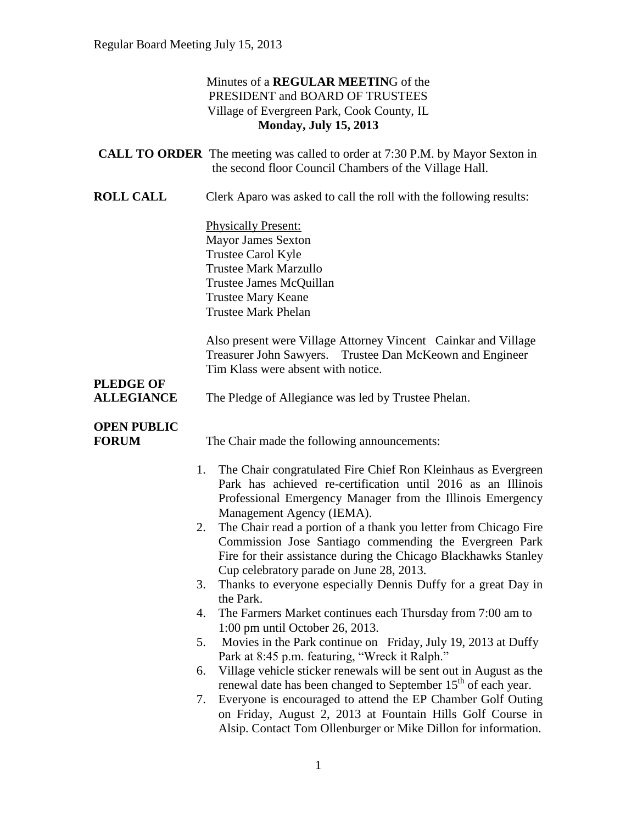### Minutes of a **REGULAR MEETIN**G of the PRESIDENT and BOARD OF TRUSTEES Village of Evergreen Park, Cook County, IL **Monday, July 15, 2013**

|                                    | <b>CALL TO ORDER</b> The meeting was called to order at 7:30 P.M. by Mayor Sexton in<br>the second floor Council Chambers of the Village Hall.                                                                                                  |
|------------------------------------|-------------------------------------------------------------------------------------------------------------------------------------------------------------------------------------------------------------------------------------------------|
| <b>ROLL CALL</b>                   | Clerk Aparo was asked to call the roll with the following results:                                                                                                                                                                              |
|                                    | <b>Physically Present:</b><br><b>Mayor James Sexton</b><br>Trustee Carol Kyle<br><b>Trustee Mark Marzullo</b><br>Trustee James McQuillan<br><b>Trustee Mary Keane</b><br><b>Trustee Mark Phelan</b>                                             |
| <b>PLEDGE OF</b>                   | Also present were Village Attorney Vincent Cainkar and Village<br>Treasurer John Sawyers. Trustee Dan McKeown and Engineer<br>Tim Klass were absent with notice.                                                                                |
| <b>ALLEGIANCE</b>                  | The Pledge of Allegiance was led by Trustee Phelan.                                                                                                                                                                                             |
| <b>OPEN PUBLIC</b><br><b>FORUM</b> | The Chair made the following announcements:                                                                                                                                                                                                     |
|                                    | The Chair congratulated Fire Chief Ron Kleinhaus as Evergreen<br>1.<br>Park has achieved re-certification until 2016 as an Illinois<br>Professional Emergency Manager from the Illinois Emergency<br>Management Agency (IEMA).                  |
|                                    | The Chair read a portion of a thank you letter from Chicago Fire<br>2.<br>Commission Jose Santiago commending the Evergreen Park<br>Fire for their assistance during the Chicago Blackhawks Stanley<br>Cup celebratory parade on June 28, 2013. |
|                                    | Thanks to everyone especially Dennis Duffy for a great Day in<br>3.<br>the Park.                                                                                                                                                                |
| 4.                                 | The Farmers Market continues each Thursday from 7:00 am to<br>1:00 pm until October 26, 2013.                                                                                                                                                   |
| 5.                                 | Movies in the Park continue on Friday, July 19, 2013 at Duffy<br>Park at 8:45 p.m. featuring, "Wreck it Ralph."                                                                                                                                 |
| 6.                                 | Village vehicle sticker renewals will be sent out in August as the<br>renewal date has been changed to September 15 <sup>th</sup> of each year.                                                                                                 |
| 7.                                 | Everyone is encouraged to attend the EP Chamber Golf Outing<br>on Friday, August 2, 2013 at Fountain Hills Golf Course in<br>Alsip. Contact Tom Ollenburger or Mike Dillon for information.                                                     |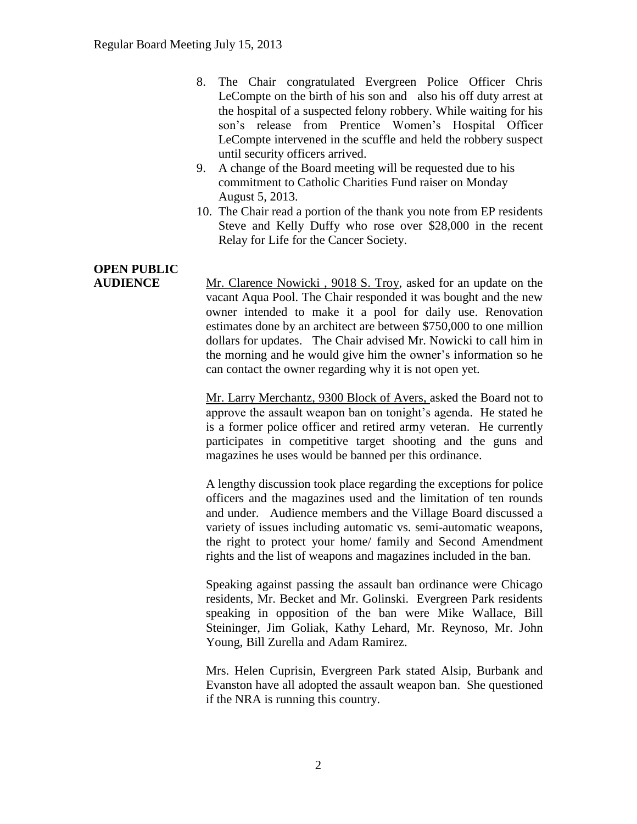- 8. The Chair congratulated Evergreen Police Officer Chris LeCompte on the birth of his son and also his off duty arrest at the hospital of a suspected felony robbery. While waiting for his son's release from Prentice Women's Hospital Officer LeCompte intervened in the scuffle and held the robbery suspect until security officers arrived.
- 9. A change of the Board meeting will be requested due to his commitment to Catholic Charities Fund raiser on Monday August 5, 2013.
- 10. The Chair read a portion of the thank you note from EP residents Steve and Kelly Duffy who rose over \$28,000 in the recent Relay for Life for the Cancer Society.

# **OPEN PUBLIC**

**AUDIENCE** Mr. Clarence Nowicki , 9018 S. Troy, asked for an update on the vacant Aqua Pool. The Chair responded it was bought and the new owner intended to make it a pool for daily use. Renovation estimates done by an architect are between \$750,000 to one million dollars for updates. The Chair advised Mr. Nowicki to call him in the morning and he would give him the owner's information so he can contact the owner regarding why it is not open yet.

> Mr. Larry Merchantz, 9300 Block of Avers, asked the Board not to approve the assault weapon ban on tonight's agenda. He stated he is a former police officer and retired army veteran. He currently participates in competitive target shooting and the guns and magazines he uses would be banned per this ordinance.

> A lengthy discussion took place regarding the exceptions for police officers and the magazines used and the limitation of ten rounds and under. Audience members and the Village Board discussed a variety of issues including automatic vs. semi-automatic weapons, the right to protect your home/ family and Second Amendment rights and the list of weapons and magazines included in the ban.

> Speaking against passing the assault ban ordinance were Chicago residents, Mr. Becket and Mr. Golinski. Evergreen Park residents speaking in opposition of the ban were Mike Wallace, Bill Steininger, Jim Goliak, Kathy Lehard, Mr. Reynoso, Mr. John Young, Bill Zurella and Adam Ramirez.

> Mrs. Helen Cuprisin, Evergreen Park stated Alsip, Burbank and Evanston have all adopted the assault weapon ban. She questioned if the NRA is running this country.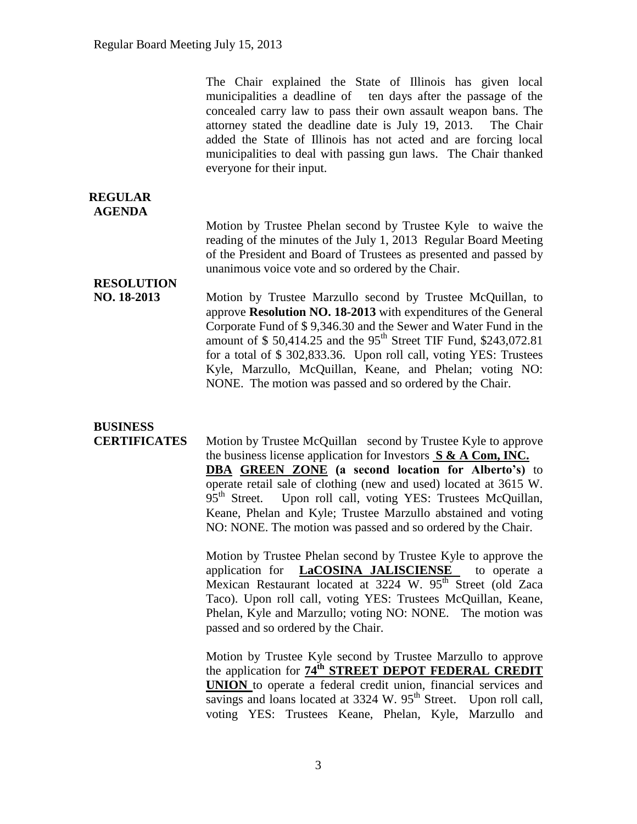The Chair explained the State of Illinois has given local municipalities a deadline of ten days after the passage of the concealed carry law to pass their own assault weapon bans. The attorney stated the deadline date is July 19, 2013. The Chair added the State of Illinois has not acted and are forcing local municipalities to deal with passing gun laws. The Chair thanked everyone for their input.

#### **REGULAR AGENDA**

Motion by Trustee Phelan second by Trustee Kyle to waive the reading of the minutes of the July 1, 2013 Regular Board Meeting of the President and Board of Trustees as presented and passed by unanimous voice vote and so ordered by the Chair.

## **RESOLUTION**

**NO. 18-2013** Motion by Trustee Marzullo second by Trustee McQuillan, to approve **Resolution NO. 18-2013** with expenditures of the General Corporate Fund of \$ 9,346.30 and the Sewer and Water Fund in the amount of  $$50,414.25$  and the 95<sup>th</sup> Street TIF Fund, \$243,072.81 for a total of \$ 302,833.36. Upon roll call, voting YES: Trustees Kyle, Marzullo, McQuillan, Keane, and Phelan; voting NO: NONE. The motion was passed and so ordered by the Chair.

# **BUSINESS**

**CERTIFICATES** Motion by Trustee McQuillan second by Trustee Kyle to approve the business license application for Investors **S & A Com, INC. DBA GREEN ZONE (a second location for Alberto's)** to operate retail sale of clothing (new and used) located at 3615 W. 95<sup>th</sup> Street. Upon roll call, voting YES: Trustees McQuillan, Keane, Phelan and Kyle; Trustee Marzullo abstained and voting NO: NONE. The motion was passed and so ordered by the Chair.

> Motion by Trustee Phelan second by Trustee Kyle to approve the application for **LaCOSINA JALISCIENSE** to operate a Mexican Restaurant located at 3224 W. 95<sup>th</sup> Street (old Zaca Taco). Upon roll call, voting YES: Trustees McQuillan, Keane, Phelan, Kyle and Marzullo; voting NO: NONE. The motion was passed and so ordered by the Chair.

> Motion by Trustee Kyle second by Trustee Marzullo to approve the application for **74th STREET DEPOT FEDERAL CREDIT UNION** to operate a federal credit union, financial services and savings and loans located at 3324 W. 95<sup>th</sup> Street. Upon roll call, voting YES: Trustees Keane, Phelan, Kyle, Marzullo and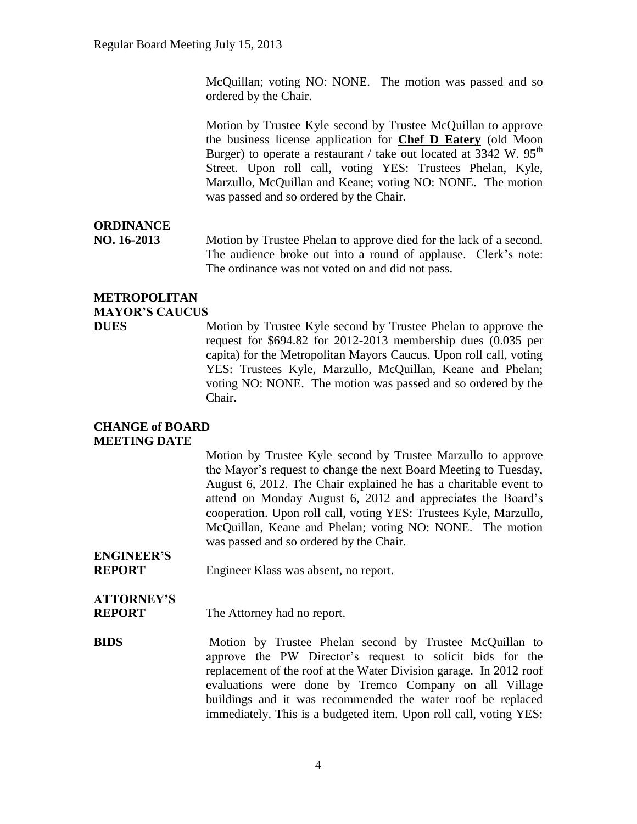McQuillan; voting NO: NONE. The motion was passed and so ordered by the Chair.

Motion by Trustee Kyle second by Trustee McQuillan to approve the business license application for **Chef D Eatery** (old Moon Burger) to operate a restaurant / take out located at  $3342 \text{ W}$ .  $95^{\text{th}}$ Street. Upon roll call, voting YES: Trustees Phelan, Kyle, Marzullo, McQuillan and Keane; voting NO: NONE. The motion was passed and so ordered by the Chair.

### **ORDINANCE**

**NO. 16-2013** Motion by Trustee Phelan to approve died for the lack of a second. The audience broke out into a round of applause. Clerk's note: The ordinance was not voted on and did not pass.

### **METROPOLITAN MAYOR'S CAUCUS**

**DUES** Motion by Trustee Kyle second by Trustee Phelan to approve the request for \$694.82 for 2012-2013 membership dues (0.035 per capita) for the Metropolitan Mayors Caucus. Upon roll call, voting YES: Trustees Kyle, Marzullo, McQuillan, Keane and Phelan; voting NO: NONE. The motion was passed and so ordered by the Chair.

### **CHANGE of BOARD MEETING DATE**

Motion by Trustee Kyle second by Trustee Marzullo to approve the Mayor's request to change the next Board Meeting to Tuesday, August 6, 2012. The Chair explained he has a charitable event to attend on Monday August 6, 2012 and appreciates the Board's cooperation. Upon roll call, voting YES: Trustees Kyle, Marzullo, McQuillan, Keane and Phelan; voting NO: NONE. The motion was passed and so ordered by the Chair.

#### **ENGINEER'S REPORT** Engineer Klass was absent, no report.

# **ATTORNEY'S**

**REPORT** The Attorney had no report.

**BIDS** Motion by Trustee Phelan second by Trustee McQuillan to approve the PW Director's request to solicit bids for the replacement of the roof at the Water Division garage. In 2012 roof evaluations were done by Tremco Company on all Village buildings and it was recommended the water roof be replaced immediately. This is a budgeted item. Upon roll call, voting YES: